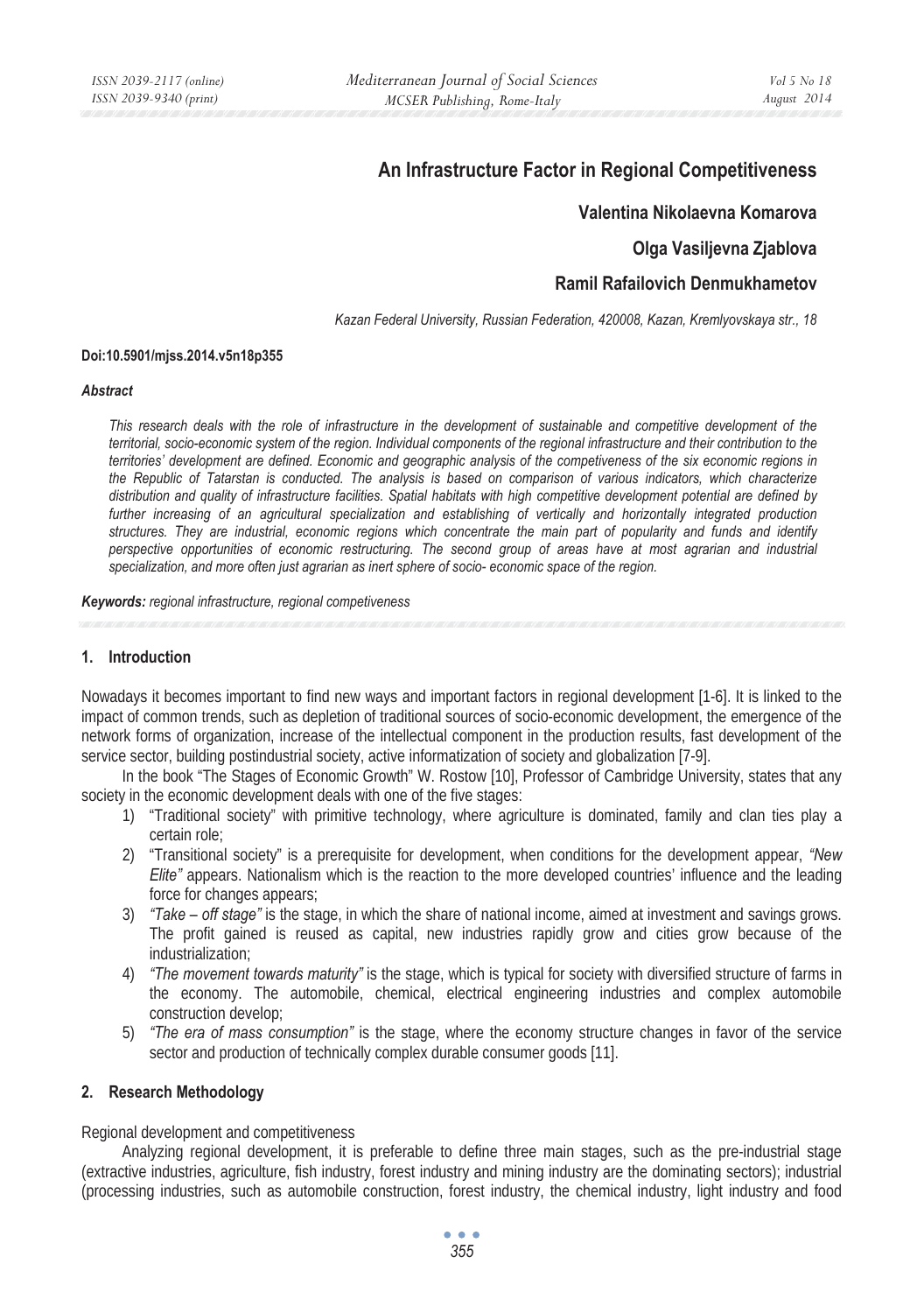# **An Infrastructure Factor in Regional Competitiveness**

# **Valentina Nikolaevna Komarova**

**Olga Vasiljevna Zjablova** 

# **Ramil Rafailovich Denmukhametov**

*Kazan Federal University, Russian Federation, 420008, Kazan, Kremlyovskaya str., 18* 

#### **Doi:10.5901/mjss.2014.v5n18p355**

#### *Abstract*

*This research deals with the role of infrastructure in the development of sustainable and competitive development of the territorial, socio-economic system of the region. Individual components of the regional infrastructure and their contribution to the territories' development are defined. Economic and geographic analysis of the competiveness of the six economic regions in the Republic of Tatarstan is conducted. The analysis is based on comparison of various indicators, which characterize distribution and quality of infrastructure facilities. Spatial habitats with high competitive development potential are defined by*  further increasing of an agricultural specialization and establishing of vertically and horizontally integrated production structures. They are industrial, economic regions which concentrate the main part of popularity and funds and identify *perspective opportunities of economic restructuring. The second group of areas have at most agrarian and industrial specialization, and more often just agrarian as inert sphere of socio- economic space of the region.* 

*Keywords: regional infrastructure, regional competiveness*

## **1. Introduction**

Nowadays it becomes important to find new ways and important factors in regional development [1-6]. It is linked to the impact of common trends, such as depletion of traditional sources of socio-economic development, the emergence of the network forms of organization, increase of the intellectual component in the production results, fast development of the service sector, building postindustrial society, active informatization of society and globalization [7-9].

In the book "The Stages of Economic Growth" W. Rostow [10], Professor of Cambridge University, states that any society in the economic development deals with one of the five stages:

- 1) "Traditional society" with primitive technology, where agriculture is dominated, family and clan ties play a certain role;
- 2) "Transitional society" is a prerequisite for development, when conditions for the development appear, *"New Elite"* appears. Nationalism which is the reaction to the more developed countries' influence and the leading force for changes appears;
- 3) *"Take off stage"* is the stage, in which the share of national income, aimed at investment and savings grows. The profit gained is reused as capital, new industries rapidly grow and cities grow because of the industrialization;
- 4) *"The movement towards maturity"* is the stage, which is typical for society with diversified structure of farms in the economy. The automobile, chemical, electrical engineering industries and complex automobile construction develop;
- 5) *"The era of mass consumption"* is the stage, where the economy structure changes in favor of the service sector and production of technically complex durable consumer goods [11].

## **2. Research Methodology**

Regional development and competitiveness

Analyzing regional development, it is preferable to define three main stages, such as the pre-industrial stage (extractive industries, agriculture, fish industry, forest industry and mining industry are the dominating sectors); industrial (processing industries, such as automobile construction, forest industry, the chemical industry, light industry and food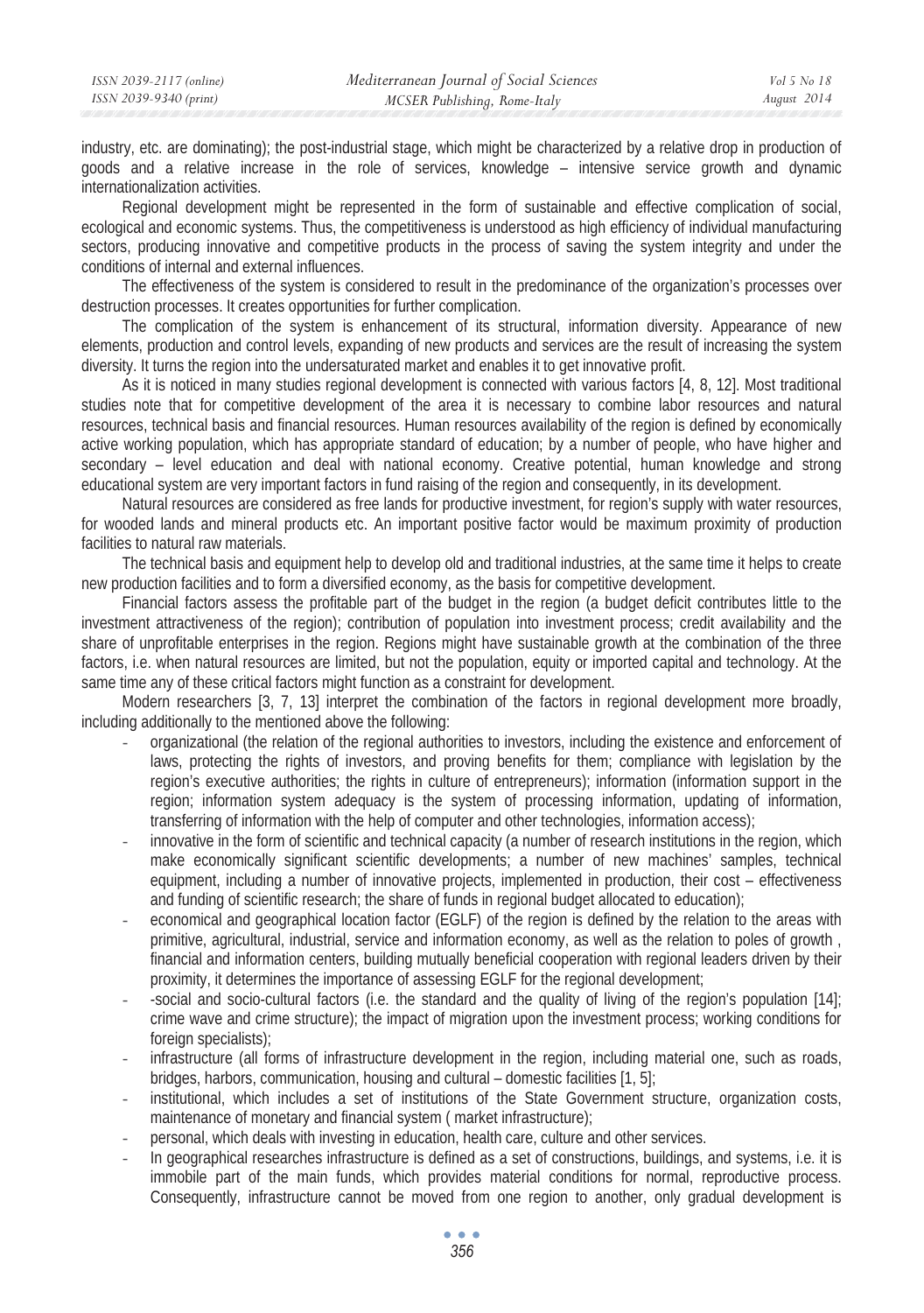industry, etc. are dominating); the post-industrial stage, which might be characterized by a relative drop in production of goods and a relative increase in the role of services, knowledge – intensive service growth and dynamic internationalization activities.

Regional development might be represented in the form of sustainable and effective complication of social, ecological and economic systems. Thus, the competitiveness is understood as high efficiency of individual manufacturing sectors, producing innovative and competitive products in the process of saving the system integrity and under the conditions of internal and external influences.

The effectiveness of the system is considered to result in the predominance of the organization's processes over destruction processes. It creates opportunities for further complication.

The complication of the system is enhancement of its structural, information diversity. Appearance of new elements, production and control levels, expanding of new products and services are the result of increasing the system diversity. It turns the region into the undersaturated market and enables it to get innovative profit.

As it is noticed in many studies regional development is connected with various factors [4, 8, 12]. Most traditional studies note that for competitive development of the area it is necessary to combine labor resources and natural resources, technical basis and financial resources. Human resources availability of the region is defined by economically active working population, which has appropriate standard of education; by a number of people, who have higher and secondary – level education and deal with national economy. Creative potential, human knowledge and strong educational system are very important factors in fund raising of the region and consequently, in its development.

Natural resources are considered as free lands for productive investment, for region's supply with water resources, for wooded lands and mineral products etc. An important positive factor would be maximum proximity of production facilities to natural raw materials.

The technical basis and equipment help to develop old and traditional industries, at the same time it helps to create new production facilities and to form a diversified economy, as the basis for competitive development.

Financial factors assess the profitable part of the budget in the region (a budget deficit contributes little to the investment attractiveness of the region); contribution of population into investment process; credit availability and the share of unprofitable enterprises in the region. Regions might have sustainable growth at the combination of the three factors, i.e. when natural resources are limited, but not the population, equity or imported capital and technology. At the same time any of these critical factors might function as a constraint for development.

Modern researchers [3, 7, 13] interpret the combination of the factors in regional development more broadly, including additionally to the mentioned above the following:

- organizational (the relation of the regional authorities to investors, including the existence and enforcement of laws, protecting the rights of investors, and proving benefits for them; compliance with legislation by the region's executive authorities; the rights in culture of entrepreneurs); information (information support in the region; information system adequacy is the system of processing information, updating of information, transferring of information with the help of computer and other technologies, information access);
- innovative in the form of scientific and technical capacity (a number of research institutions in the region, which make economically significant scientific developments; a number of new machines' samples, technical equipment, including a number of innovative projects, implemented in production, their cost – effectiveness and funding of scientific research; the share of funds in regional budget allocated to education);
- economical and geographical location factor (EGLF) of the region is defined by the relation to the areas with primitive, agricultural, industrial, service and information economy, as well as the relation to poles of growth , financial and information centers, building mutually beneficial cooperation with regional leaders driven by their proximity, it determines the importance of assessing EGLF for the regional development;
- -social and socio-cultural factors (i.e. the standard and the quality of living of the region's population [14]; crime wave and crime structure); the impact of migration upon the investment process; working conditions for foreign specialists);
- infrastructure (all forms of infrastructure development in the region, including material one, such as roads, bridges, harbors, communication, housing and cultural – domestic facilities [1, 5];
- institutional, which includes a set of institutions of the State Government structure, organization costs, maintenance of monetary and financial system ( market infrastructure);
- personal, which deals with investing in education, health care, culture and other services.
- In geographical researches infrastructure is defined as a set of constructions, buildings, and systems, i.e. it is immobile part of the main funds, which provides material conditions for normal, reproductive process. Consequently, infrastructure cannot be moved from one region to another, only gradual development is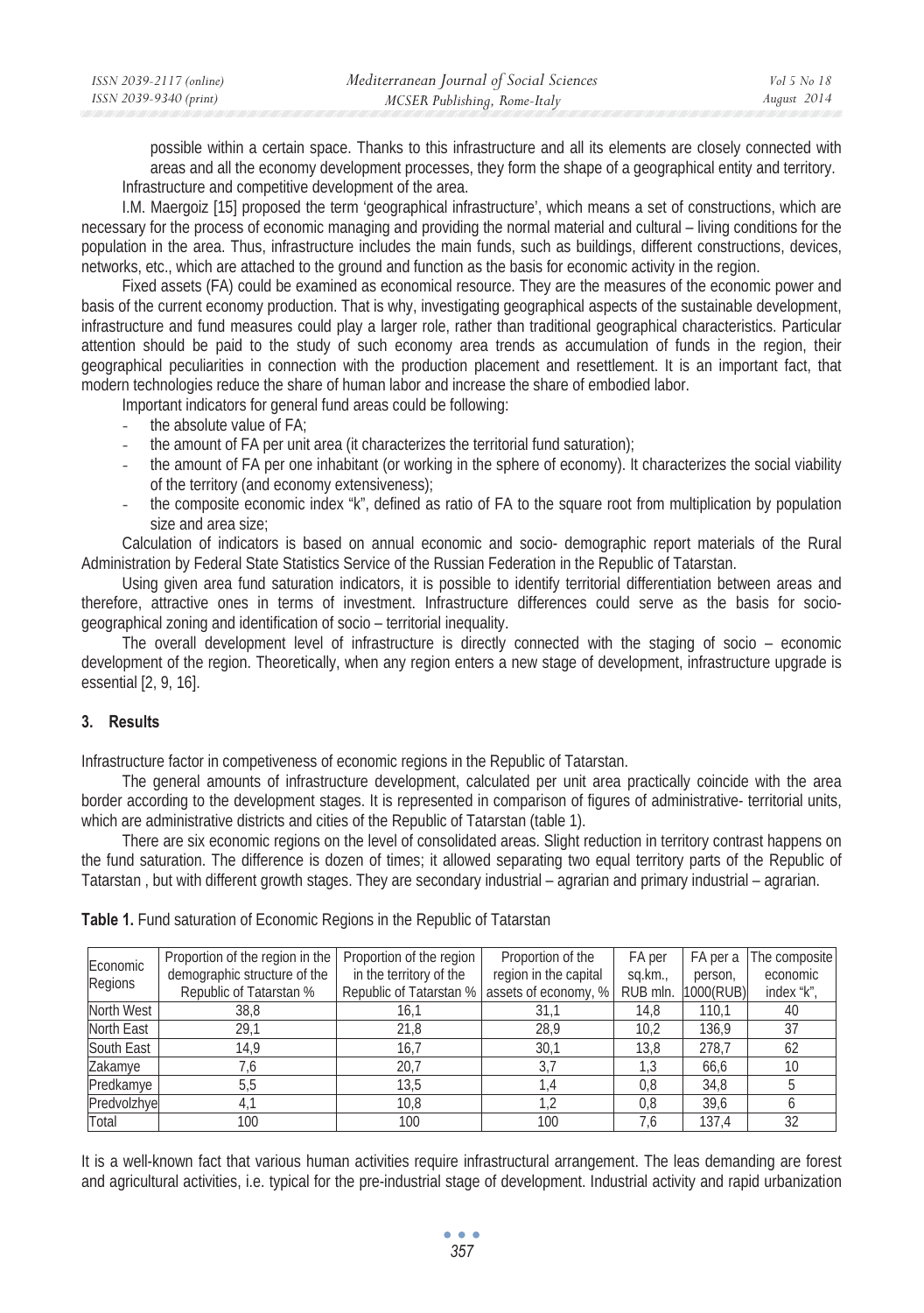| ISSN 2039-2117 (online) | Mediterranean Journal of Social Sciences | <i>Vol</i> 5 No 18 |
|-------------------------|------------------------------------------|--------------------|
| ISSN 2039-9340 (print)  | MCSER Publishing, Rome-Italy             | August 2014        |
|                         |                                          |                    |

possible within a certain space. Thanks to this infrastructure and all its elements are closely connected with areas and all the economy development processes, they form the shape of a geographical entity and territory. Infrastructure and competitive development of the area.

I.M. Maergoiz [15] proposed the term 'geographical infrastructure', which means a set of constructions, which are necessary for the process of economic managing and providing the normal material and cultural – living conditions for the population in the area. Thus, infrastructure includes the main funds, such as buildings, different constructions, devices, networks, etc., which are attached to the ground and function as the basis for economic activity in the region.

Fixed assets (FA) could be examined as economical resource. They are the measures of the economic power and basis of the current economy production. That is why, investigating geographical aspects of the sustainable development, infrastructure and fund measures could play a larger role, rather than traditional geographical characteristics. Particular attention should be paid to the study of such economy area trends as accumulation of funds in the region, their geographical peculiarities in connection with the production placement and resettlement. It is an important fact, that modern technologies reduce the share of human labor and increase the share of embodied labor.

Important indicators for general fund areas could be following:

- the absolute value of FA:
- the amount of FA per unit area (it characterizes the territorial fund saturation);
- the amount of FA per one inhabitant (or working in the sphere of economy). It characterizes the social viability of the territory (and economy extensiveness);
- the composite economic index "k", defined as ratio of FA to the square root from multiplication by population size and area size;

Calculation of indicators is based on annual economic and socio- demographic report materials of the Rural Administration by Federal State Statistics Service of the Russian Federation in the Republic of Tatarstan.

Using given area fund saturation indicators, it is possible to identify territorial differentiation between areas and therefore, attractive ones in terms of investment. Infrastructure differences could serve as the basis for sociogeographical zoning and identification of socio – territorial inequality.

The overall development level of infrastructure is directly connected with the staging of socio – economic development of the region. Theoretically, when any region enters a new stage of development, infrastructure upgrade is essential [2, 9, 16].

# **3. Results**

Infrastructure factor in competiveness of economic regions in the Republic of Tatarstan.

The general amounts of infrastructure development, calculated per unit area practically coincide with the area border according to the development stages. It is represented in comparison of figures of administrative- territorial units, which are administrative districts and cities of the Republic of Tatarstan (table 1).

There are six economic regions on the level of consolidated areas. Slight reduction in territory contrast happens on the fund saturation. The difference is dozen of times; it allowed separating two equal territory parts of the Republic of Tatarstan , but with different growth stages. They are secondary industrial – agrarian and primary industrial – agrarian.

| Economic<br>Regions | Proportion of the region in the | Proportion of the region                     | Proportion of the     | FA per   | FA per a  | The composite |
|---------------------|---------------------------------|----------------------------------------------|-----------------------|----------|-----------|---------------|
|                     | demographic structure of the    | in the territory of the                      | region in the capital | sq.km.,  | person,   | economic      |
|                     | Republic of Tatarstan %         | Republic of Tatarstan % assets of economy, % |                       | RUB mln. | 1000(RUB) | index "k",    |
| North West          | 38,8                            | 16,1                                         | 31,1                  | 14,8     | 110.1     | 40            |
| North East          | 29,1                            | 21,8                                         | 28,9                  | 10,2     | 136.9     | 37            |
| South East          | 14.9                            | 16.7                                         | 30,1                  | 13,8     | 278,7     | 62            |
| Zakamye             | 7,6                             | 20,7                                         | 3,7                   | 1,3      | 66.6      | 10            |
| Predkamve           | 5,5                             | 13,5                                         | 4. ا                  | 0,8      | 34.8      |               |
| Predvolzhve         | 4.1                             | 10.8                                         | 1.2                   | 0.8      | 39.6      |               |
| Total               | 100                             | 100                                          | 100                   | 7.6      | 137.4     | 32            |

**Table 1.** Fund saturation of Economic Regions in the Republic of Tatarstan

It is a well-known fact that various human activities require infrastructural arrangement. The leas demanding are forest and agricultural activities, i.e. typical for the pre-industrial stage of development. Industrial activity and rapid urbanization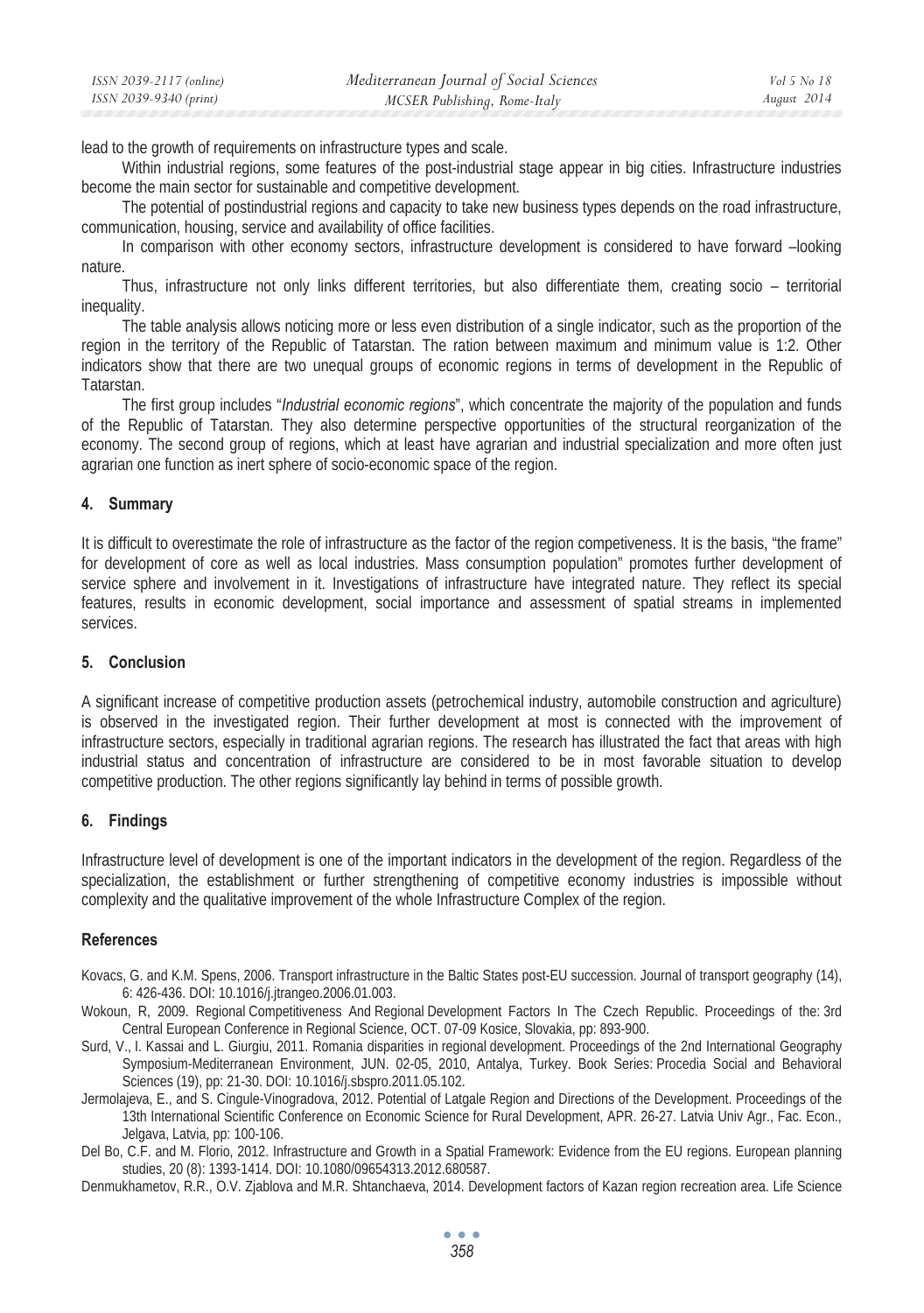| ISSN 2039-2117 (online) | Mediterranean Journal of Social Sciences | Vol 5 No 18 |
|-------------------------|------------------------------------------|-------------|
| ISSN 2039-9340 (print)  | MCSER Publishing, Rome-Italy             | August 2014 |

lead to the growth of requirements on infrastructure types and scale.

Within industrial regions, some features of the post-industrial stage appear in big cities. Infrastructure industries become the main sector for sustainable and competitive development.

The potential of postindustrial regions and capacity to take new business types depends on the road infrastructure, communication, housing, service and availability of office facilities.

In comparison with other economy sectors, infrastructure development is considered to have forward –looking nature.

Thus, infrastructure not only links different territories, but also differentiate them, creating socio – territorial inequality.

The table analysis allows noticing more or less even distribution of a single indicator, such as the proportion of the region in the territory of the Republic of Tatarstan. The ration between maximum and minimum value is 1:2. Other indicators show that there are two unequal groups of economic regions in terms of development in the Republic of **Tatarstan** 

The first group includes "*Industrial economic regions*", which concentrate the majority of the population and funds of the Republic of Tatarstan. They also determine perspective opportunities of the structural reorganization of the economy. The second group of regions, which at least have agrarian and industrial specialization and more often just agrarian one function as inert sphere of socio-economic space of the region.

## **4. Summary**

It is difficult to overestimate the role of infrastructure as the factor of the region competiveness. It is the basis, "the frame" for development of core as well as local industries. Mass consumption population" promotes further development of service sphere and involvement in it. Investigations of infrastructure have integrated nature. They reflect its special features, results in economic development, social importance and assessment of spatial streams in implemented services.

#### **5. Conclusion**

A significant increase of competitive production assets (petrochemical industry, automobile construction and agriculture) is observed in the investigated region. Their further development at most is connected with the improvement of infrastructure sectors, especially in traditional agrarian regions. The research has illustrated the fact that areas with high industrial status and concentration of infrastructure are considered to be in most favorable situation to develop competitive production. The other regions significantly lay behind in terms of possible growth.

## **6. Findings**

Infrastructure level of development is one of the important indicators in the development of the region. Regardless of the specialization, the establishment or further strengthening of competitive economy industries is impossible without complexity and the qualitative improvement of the whole Infrastructure Complex of the region.

#### **References**

- Kovacs, G. and K.M. Spens, 2006. Transport infrastructure in the Baltic States post-EU succession. Journal of transport geography (14), 6: 426-436. DOI: 10.1016/j.jtrangeo.2006.01.003.
- Wokoun, R, 2009. Regional Competitiveness And Regional Development Factors In The Czech Republic. Proceedings of the: 3rd Central European Conference in Regional Science, OCT. 07-09 Kosice, Slovakia, pp: 893-900.
- Surd, V., I. Kassai and L. Giurgiu, 2011. Romania disparities in regional development. Proceedings of the 2nd International Geography Symposium-Mediterranean Environment, JUN. 02-05, 2010, Antalya, Turkey. Book Series: Procedia Social and Behavioral Sciences (19), pp: 21-30. DOI: 10.1016/j.sbspro.2011.05.102.
- Jermolajeva, E., and S. Cingule-Vinogradova, 2012. Potential of Latgale Region and Directions of the Development. Proceedings of the 13th International Scientific Conference on Economic Science for Rural Development, APR. 26-27. Latvia Univ Agr., Fac. Econ., Jelgava, Latvia, pp: 100-106.
- Del Bo, C.F. and M. Florio, 2012. Infrastructure and Growth in a Spatial Framework: Evidence from the EU regions. European planning studies, 20 (8): 1393-1414. DOI: 10.1080/09654313.2012.680587.
- Denmukhametov, R.R., O.V. Zjablova and M.R. Shtanchaeva, 2014. Development factors of Kazan region recreation area. Life Science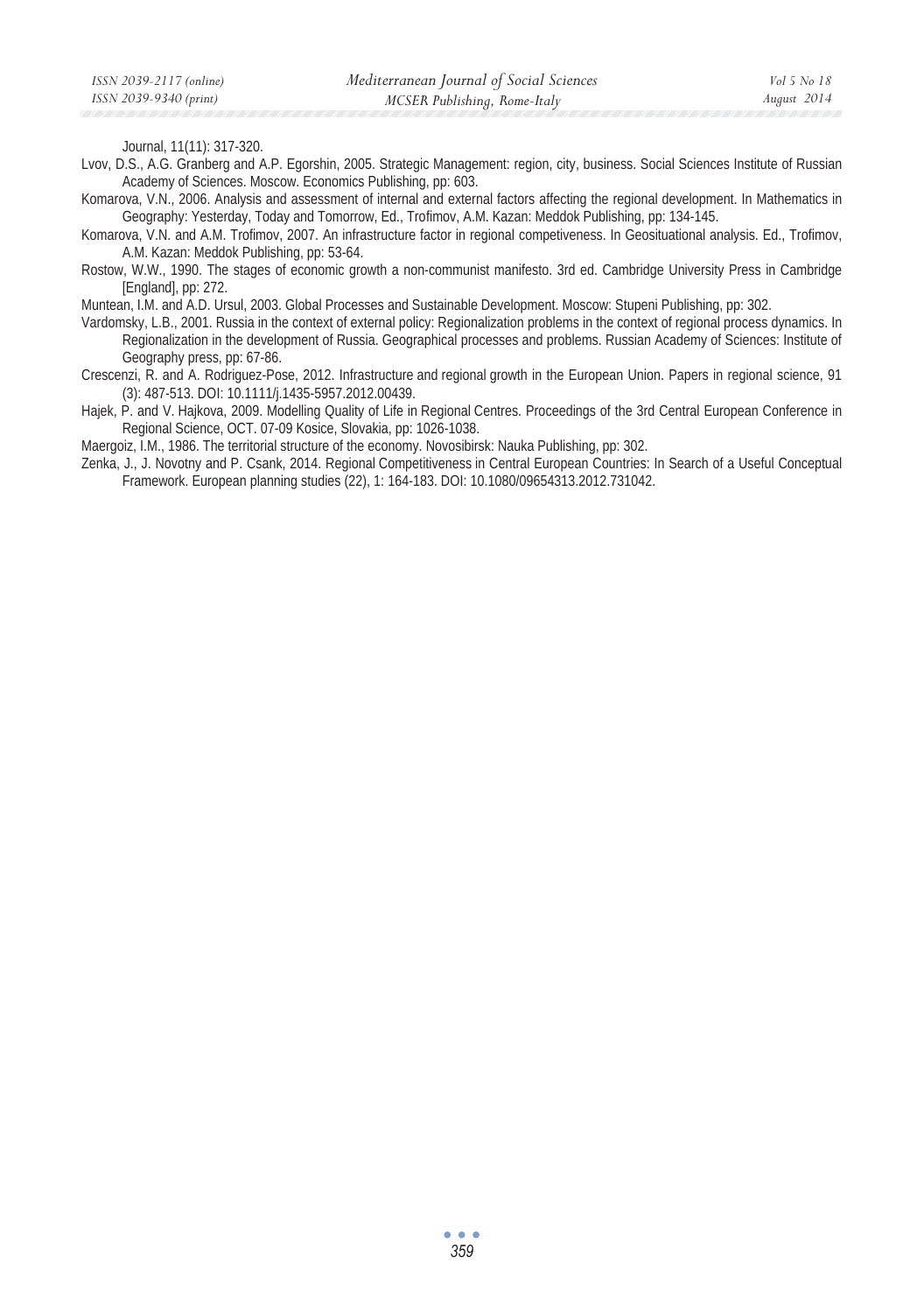Journal, 11(11): 317-320.

- Lvov, D.S., A.G. Granberg and A.P. Egorshin, 2005. Strategic Management: region, city, business. Social Sciences Institute of Russian Academy of Sciences. Moscow. Economics Publishing, pp: 603.
- Komarova, V.N., 2006. Analysis and assessment of internal and external factors affecting the regional development. In Mathematics in Geography: Yesterday, Today and Tomorrow, Ed., Trofimov, A.M. Kazan: Meddok Publishing, pp: 134-145.
- Komarova, V.N. and A.M. Trofimov, 2007. An infrastructure factor in regional competiveness. In Geosituational analysis. Ed., Trofimov, A.M. Kazan: Meddok Publishing, pp: 53-64.
- Rostow, W.W., 1990. The stages of economic growth a non-communist manifesto. 3rd ed. Cambridge University Press in Cambridge [England], pp: 272.
- Muntean, I.M. and A.D. Ursul, 2003. Global Processes and Sustainable Development. Moscow: Stupeni Publishing, pp: 302.
- Vardomsky, L.B., 2001. Russia in the context of external policy: Regionalization problems in the context of regional process dynamics. In Regionalization in the development of Russia. Geographical processes and problems. Russian Academy of Sciences: Institute of Geography press, pp: 67-86.
- Crescenzi, R. and A. Rodriguez-Pose, 2012. Infrastructure and regional growth in the European Union. Papers in regional science, 91 (3): 487-513. DOI: 10.1111/j.1435-5957.2012.00439.
- Hajek, P. and V. Hajkova, 2009. Modelling Quality of Life in Regional Centres. Proceedings of the 3rd Central European Conference in Regional Science, OCT. 07-09 Kosice, Slovakia, pp: 1026-1038.
- Maergoiz, I.M., 1986. The territorial structure of the economy. Novosibirsk: Nauka Publishing, pp: 302.
- Zenka, J., J. Novotny and P. Csank, 2014. Regional Competitiveness in Central European Countries: In Search of a Useful Conceptual Framework. European planning studies (22), 1: 164-183. DOI: 10.1080/09654313.2012.731042.